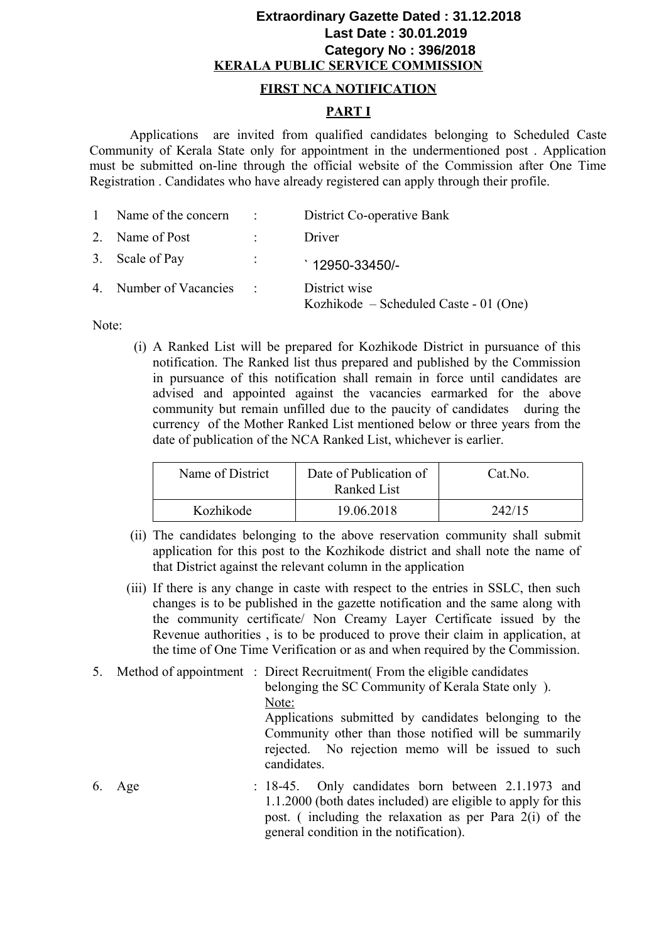## **KERALA PUBLIC SERVICE COMMISSION Extraordinary Gazette Dated : 31.12.2018 Last Date : 30.01.2019 Category No : 396/2018**

#### **FIRST NCA NOTIFICATION**

## **PART I**

Applications are invited from qualified candidates belonging to Scheduled Caste Community of Kerala State only for appointment in the undermentioned post . Application must be submitted on-line through the official website of the Commission after One Time Registration . Candidates who have already registered can apply through their profile.

| $\mathbf{1}$ | Name of the concern    | $\mathcal{L}^{\text{max}}_{\text{max}}$ | District Co-operative Bank                              |
|--------------|------------------------|-----------------------------------------|---------------------------------------------------------|
|              | 2. Name of Post        |                                         | Driver                                                  |
|              | 3. Scale of Pay        | ÷                                       | $\degree$ 12950-33450/-                                 |
|              | 4. Number of Vacancies | $\sim 100$                              | District wise<br>Kozhikode – Scheduled Caste - 01 (One) |

Note:

(i) A Ranked List will be prepared for Kozhikode District in pursuance of this notification. The Ranked list thus prepared and published by the Commission in pursuance of this notification shall remain in force until candidates are advised and appointed against the vacancies earmarked for the above community but remain unfilled due to the paucity of candidates during the currency of the Mother Ranked List mentioned below or three years from the date of publication of the NCA Ranked List, whichever is earlier.

| Name of District | Date of Publication of<br>Ranked List | Cat.No. |
|------------------|---------------------------------------|---------|
| Kozhikode        | 19.06.2018                            | 242/15  |

- (ii) The candidates belonging to the above reservation community shall submit application for this post to the Kozhikode district and shall note the name of that District against the relevant column in the application
- (iii) If there is any change in caste with respect to the entries in SSLC, then such changes is to be published in the gazette notification and the same along with the community certificate/ Non Creamy Layer Certificate issued by the Revenue authorities , is to be produced to prove their claim in application, at the time of One Time Verification or as and when required by the Commission.
- 5. Method of appointment : Direct Recruitment( From the eligible candidates belonging the SC Community of Kerala State only ). Note: Applications submitted by candidates belonging to the Community other than those notified will be summarily rejected. No rejection memo will be issued to such candidates.
- 6. Age : 18-45. Only candidates born between 2.1.1973 and 1.1.2000 (both dates included) are eligible to apply for this post. ( including the relaxation as per Para 2(i) of the general condition in the notification).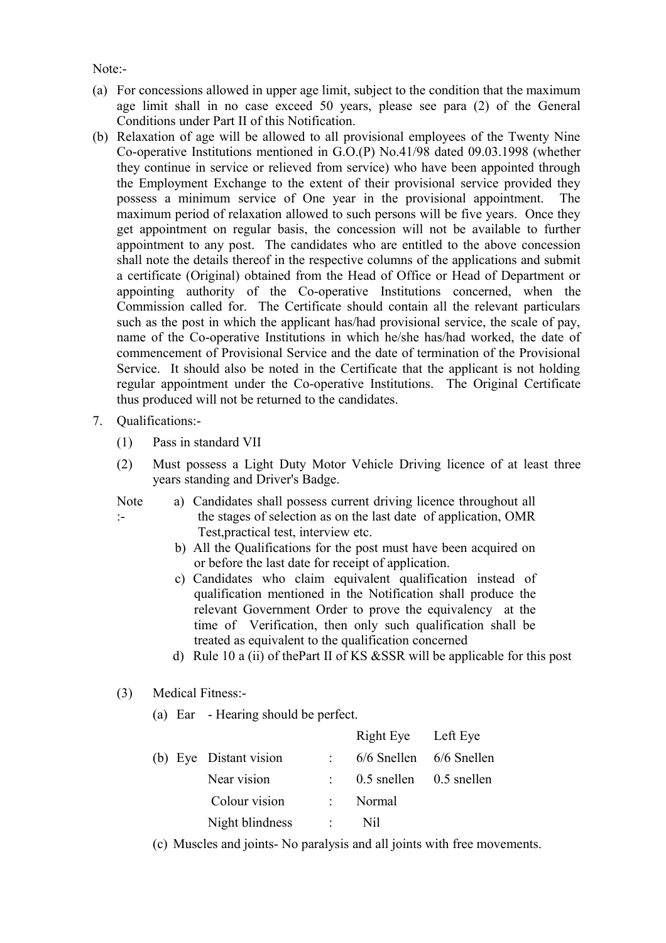Note:-

- (a) For concessions allowed in upper age limit, subject to the condition that the maximum age limit shall in no case exceed 50 years, please see para (2) of the General Conditions under Part II of this Notification.
- (b) Relaxation of age will be allowed to all provisional employees of the Twenty Nine Co-operative Institutions mentioned in G.O.(P) No.41/98 dated 09.03.1998 (whether they continue in service or relieved from service) who have been appointed through the Employment Exchange to the extent of their provisional service provided they possess a minimum service of One year in the provisional appointment. The maximum period of relaxation allowed to such persons will be five years. Once they get appointment on regular basis, the concession will not be available to further appointment to any post. The candidates who are entitled to the above concession shall note the details thereof in the respective columns of the applications and submit a certificate (Original) obtained from the Head of Office or Head of Department or appointing authority of the Co-operative Institutions concerned, when the Commission called for. The Certificate should contain all the relevant particulars such as the post in which the applicant has/had provisional service, the scale of pay, name of the Co-operative Institutions in which he/she has/had worked, the date of commencement of Provisional Service and the date of termination of the Provisional Service. It should also be noted in the Certificate that the applicant is not holding regular appointment under the Co-operative Institutions. The Original Certificate thus produced will not be returned to the candidates.
- 7. Qualifications:-

:-

- (1) Pass in standard VII
- (2) Must possess a Light Duty Motor Vehicle Driving licence of at least three years standing and Driver's Badge.
- Note a) Candidates shall possess current driving licence throughout all the stages of selection as on the last date of application, OMR Test,practical test, interview etc.
	- b) All the Qualifications for the post must have been acquired on or before the last date for receipt of application.
	- c) Candidates who claim equivalent qualification instead of qualification mentioned in the Notification shall produce the relevant Government Order to prove the equivalency at the time of Verification, then only such qualification shall be treated as equivalent to the qualification concerned
	- d) Rule 10 a (ii) of the Part II of KS & SSR will be applicable for this post
- (3) Medical Fitness:-
	- (a) Ear Hearing should be perfect.

|  |                        | Right Eye Left Eye          |  |
|--|------------------------|-----------------------------|--|
|  | (b) Eye Distant vision | 6/6 Snellen 6/6 Snellen     |  |
|  | Near vision            | $0.5$ snellen $0.5$ snellen |  |
|  | Colour vision          | Normal                      |  |
|  | Night blindness        | $N_{1}$                     |  |
|  |                        |                             |  |

(c) Muscles and joints- No paralysis and all joints with free movements.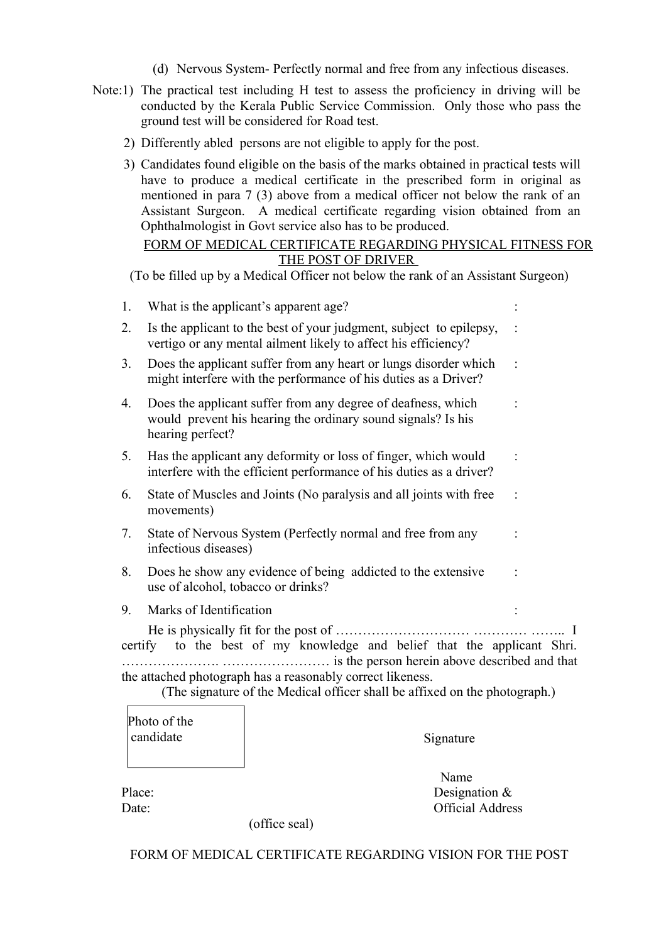- (d) Nervous System- Perfectly normal and free from any infectious diseases.
- Note:1) The practical test including H test to assess the proficiency in driving will be conducted by the Kerala Public Service Commission. Only those who pass the ground test will be considered for Road test.
	- 2) Differently abled persons are not eligible to apply for the post.
	- 3) Candidates found eligible on the basis of the marks obtained in practical tests will have to produce a medical certificate in the prescribed form in original as mentioned in para 7 (3) above from a medical officer not below the rank of an Assistant Surgeon. A medical certificate regarding vision obtained from an Ophthalmologist in Govt service also has to be produced.

## FORM OF MEDICAL CERTIFICATE REGARDING PHYSICAL FITNESS FOR THE POST OF DRIVER

(To be filled up by a Medical Officer not below the rank of an Assistant Surgeon)

| 1. | What is the applicant's apparent age? |                                                                                                                                       |  |
|----|---------------------------------------|---------------------------------------------------------------------------------------------------------------------------------------|--|
| 2. |                                       | Is the applicant to the best of your judgment, subject to epilepsy,<br>vertigo or any mental ailment likely to affect his efficiency? |  |
| 3. |                                       | Does the applicant suffer from any heart or lungs disorder which<br>might interfere with the performance of his duties as a Driver?   |  |
| 4. | hearing perfect?                      | Does the applicant suffer from any degree of deafness, which<br>would prevent his hearing the ordinary sound signals? Is his          |  |
| 5. |                                       | Has the applicant any deformity or loss of finger, which would<br>interfere with the efficient performance of his duties as a driver? |  |
| 6. | movements)                            | State of Muscles and Joints (No paralysis and all joints with free                                                                    |  |
| 7. | infectious diseases)                  | State of Nervous System (Perfectly normal and free from any                                                                           |  |
| 8. | use of alcohol, tobacco or drinks?    | Does he show any evidence of being addicted to the extensive                                                                          |  |
| 9. | Marks of Identification               |                                                                                                                                       |  |
|    |                                       |                                                                                                                                       |  |
|    |                                       | certify to the best of my knowledge and belief that the applicant Shri.                                                               |  |
|    |                                       | the attached photograph has a reasonably correct likeness.                                                                            |  |
|    |                                       | (The signature of the Medical officer shall be affixed on the photograph.)                                                            |  |
|    | Photo of the                          |                                                                                                                                       |  |
|    |                                       |                                                                                                                                       |  |

| candidate |               | Signature               |
|-----------|---------------|-------------------------|
|           |               | Name                    |
| Place:    |               | Designation $\&$        |
| Date:     |               | <b>Official Address</b> |
|           | (office seal) |                         |

FORM OF MEDICAL CERTIFICATE REGARDING VISION FOR THE POST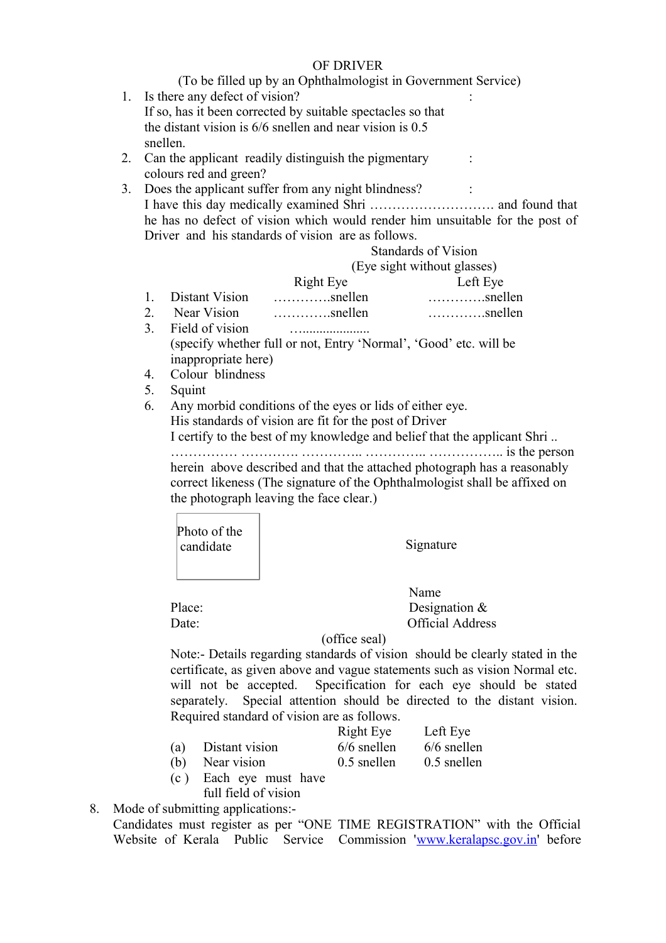#### OF DRIVER

(To be filled up by an Ophthalmologist in Government Service)

- 1. Is there any defect of vision? If so, has it been corrected by suitable spectacles so that the distant vision is 6/6 snellen and near vision is 0.5 snellen.
- 2. Can the applicant readily distinguish the pigmentary colours red and green?
- 3. Does the applicant suffer from any night blindness? : I have this day medically examined Shri ………………………. and found that he has no defect of vision which would render him unsuitable for the post of Driver and his standards of vision are as follows.

# Standards of Vision

(Eye sight without glasses)

:

:

|                | Right Eye        | Left Eye         |
|----------------|------------------|------------------|
| Distant Vision | $\ldots$ snellen | $\ldots$ snellen |

- 2. Near Vision ………….snellen ………….snellen
- 3. Field of vision …....................

(specify whether full or not, Entry 'Normal', 'Good' etc. will be inappropriate here)

- 4. Colour blindness
- 5. Squint
- 6. Any morbid conditions of the eyes or lids of either eye. His standards of vision are fit for the post of Driver I certify to the best of my knowledge and belief that the applicant Shri ..

…………… …………. ………….. ………….. …………….. is the person herein above described and that the attached photograph has a reasonably correct likeness (The signature of the Ophthalmologist shall be affixed on

the photograph leaving the face clear.)

candidate Signature Photo of the

 $(c)$ 

 Name Place: Designation & Date: Official Address

(office seal)

Note:- Details regarding standards of vision should be clearly stated in the certificate, as given above and vague statements such as vision Normal etc. will not be accepted. Specification for each eye should be stated separately. Special attention should be directed to the distant vision. Required standard of vision are as follows.

|     |                      | Right Eye     | Left Eye      |
|-----|----------------------|---------------|---------------|
| (a) | Distant vision       | $6/6$ snellen | $6/6$ snellen |
| (b) | Near vision          | $0.5$ snellen | $0.5$ snellen |
| (c) | Each eye must have   |               |               |
|     | full field of vision |               |               |

8. Mode of submitting applications:- Candidates must register as per "ONE TIME REGISTRATION" with the Official Website of Kerala Public Service Commission ['www.keralapsc.gov.in](http://www.keralapsc.gov.in/)' before